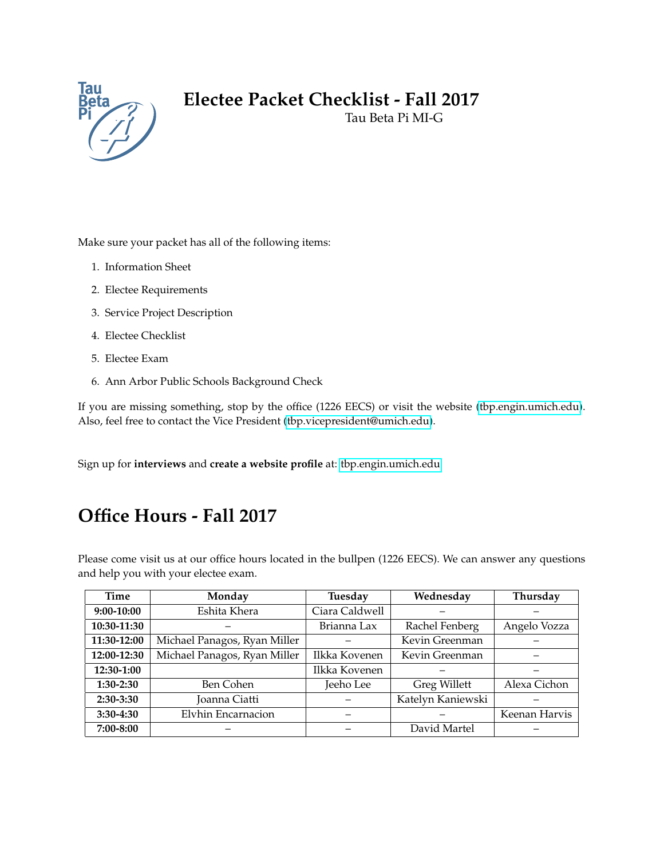

# **Electee Packet Checklist - Fall 2017**

Tau Beta Pi MI-G

Make sure your packet has all of the following items:

- 1. Information Sheet
- 2. Electee Requirements
- 3. Service Project Description
- 4. Electee Checklist
- 5. Electee Exam
- 6. Ann Arbor Public Schools Background Check

If you are missing something, stop by the office (1226 EECS) or visit the website [\(tbp.engin.umich.edu\)](http://tbp.engin.umich.edu). Also, feel free to contact the Vice President [\(tbp.vicepresident@umich.edu\)](mailto:tbp.vicepresident@umich.edu).

Sign up for **interviews** and **create a website profile** at: [tbp.engin.umich.edu](http://tbp.engin.umich.edu)

# **Office Hours - Fall 2017**

Please come visit us at our office hours located in the bullpen (1226 EECS). We can answer any questions and help you with your electee exam.

| Time        | Monday                       | Tuesday        | Wednesday           | Thursday      |
|-------------|------------------------------|----------------|---------------------|---------------|
| 9:00-10:00  | Eshita Khera                 | Ciara Caldwell |                     |               |
| 10:30-11:30 |                              | Brianna Lax    | Rachel Fenberg      | Angelo Vozza  |
| 11:30-12:00 | Michael Panagos, Ryan Miller |                | Kevin Greenman      |               |
| 12:00-12:30 | Michael Panagos, Ryan Miller | Ilkka Kovenen  | Kevin Greenman      |               |
| 12:30-1:00  |                              | Ilkka Kovenen  |                     |               |
| $1:30-2:30$ | <b>Ben Cohen</b>             | Jeeho Lee      | <b>Greg Willett</b> | Alexa Cichon  |
| $2:30-3:30$ | Joanna Ciatti                |                | Katelyn Kaniewski   |               |
| 3:30-4:30   | Elvhin Encarnacion           |                |                     | Keenan Harvis |
| 7:00-8:00   |                              |                | David Martel        |               |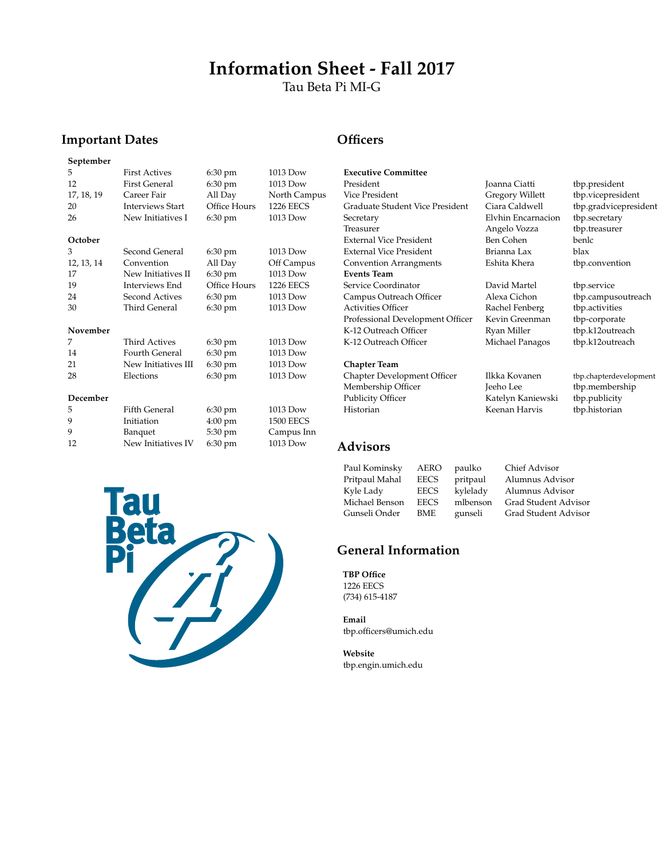# **Information Sheet - Fall 2017**

Tau Beta Pi MI-G

## **Important Dates**

#### **September** 5 First Actives 6:30 pm 1013 Dow 12 First General 6:30 pm 1013 Dow 17, 18, 19 Career Fair All Day North Campus 20 Interviews Start Office Hours 1226 EECS 26 New Initiatives I 6:30 pm 1013 Dow **October** 3 Second General 6:30 pm 1013 Dow 12, 13, 14 Convention All Day Off Campus 17 New Initiatives II 6:30 pm 1013 Dow<br>19 Interviews End Office Hours 1226 EECS 19 Interviews End Office Hours 24 Second Actives 6:30 pm 1013 Dow 30 Third General 6:30 pm 1013 Dow **November** 7 Third Actives 6:30 pm 1013 Dow 14 Fourth General 6:30 pm 1013 Dow 21 New Initiatives III 6:30 pm 1013 Dow 28 Elections 6:30 pm 1013 Dow **December** 5 Fifth General 6:30 pm 1013 Dow 9 Initiation 4:00 pm 1500 EECS<br>9 Banquet 5:30 pm Campus In 9 Banquet 5:30 pm Campus Inn 12 New Initiatives IV 6:30 pm 1013 Dow



### **Officers**

**Executive Committee** President Joanna Ciatti tbp.president Vice President Gregory Willett tbp.vicepresident Graduate Student Vice President Ciara Caldwell tbp.gradvicepresident Secretary Elvhin Encarnacion tbp.secretary Treasurer Angelo Vozza tbp.treasurer External Vice President Ben Cohen benlc External Vice President Brianna Lax blax Convention Arrangments Eshita Khera tbp.convention **Events Team** Service Coordinator **David Martel** tbp.service Campus Outreach Officer Alexa Cichon tbp.campusoutreach Activities Officer Rachel Fenberg tbp.activities Professional Development Officer Kevin Greenman tbp-corporate<br>K-12 Outreach Officer Ryan Miller tbp.k12outrea K-12 Outreach Officer Michael Panagos tbp.k12outreach

# **Chapter Team** Chapter Development Officer Ilkka Kovanen tbp.chapterdevelopment Membership Officer Jeeho Lee tbp.members<br>Publicity Officer Katelyn Kaniewski tbp.publicity

### **Advisors**

Katelyn Kaniewski

tbp.k12outreach

Historian Keenan Harvis tbp.historian

Paul Kominsky AERO paulko Chief Advisor Pritpaul Mahal EECS pritpaul Alumnus Advisor Kyle Lady EECS kylelady Alumnus Advisor<br>Michael Benson EECS mlbenson Grad Student Adv Grad Student Advisor Gunseli Onder BME gunseli Grad Student Advisor

# **General Information**

**TBP Office** 1226 EECS (734) 615-4187

**Email** tbp.officers@umich.edu

**Website** tbp.engin.umich.edu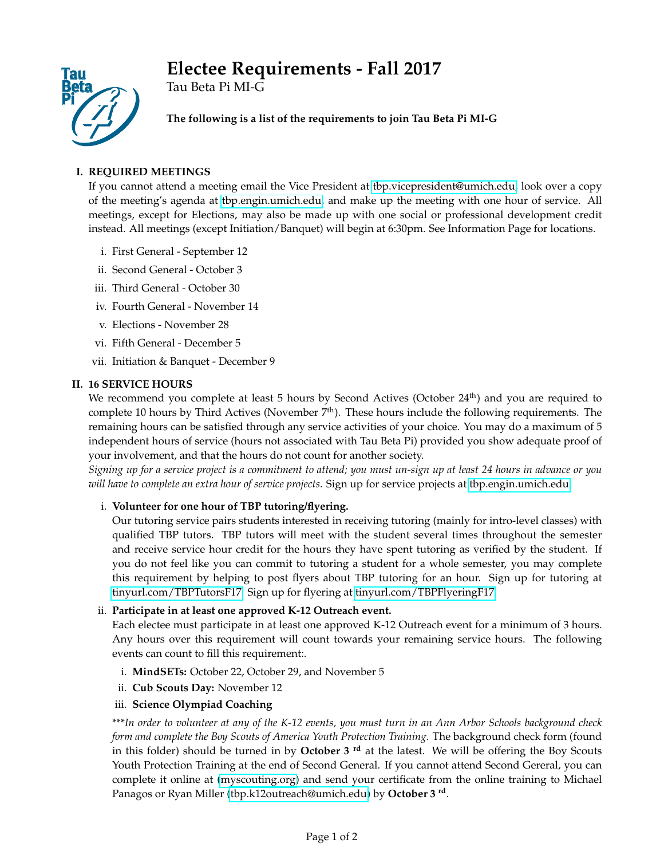# **Electee Requirements - Fall 2017**



Tau Beta Pi MI-G

**The following is a list of the requirements to join Tau Beta Pi MI-G**

# **I. REQUIRED MEETINGS**

If you cannot attend a meeting email the Vice President at [tbp.vicepresident@umich.edu,](mailto:tbp.vicepresident@umich.edu) look over a copy of the meeting's agenda at [tbp.engin.umich.edu,](http://tbp.engin.umich.edu) and make up the meeting with one hour of service. All meetings, except for Elections, may also be made up with one social or professional development credit instead. All meetings (except Initiation/Banquet) will begin at 6:30pm. See Information Page for locations.

- i. First General September 12
- ii. Second General October 3
- iii. Third General October 30
- iv. Fourth General November 14
- v. Elections November 28
- vi. Fifth General December 5
- vii. Initiation & Banquet December 9

## **II. 16 SERVICE HOURS**

We recommend you complete at least 5 hours by Second Actives (October 24<sup>th</sup>) and you are required to complete 10 hours by Third Actives (November  $7<sup>th</sup>$ ). These hours include the following requirements. The remaining hours can be satisfied through any service activities of your choice. You may do a maximum of 5 independent hours of service (hours not associated with Tau Beta Pi) provided you show adequate proof of your involvement, and that the hours do not count for another society.

*Signing up for a service project is a commitment to attend; you must un-sign up at least 24 hours in advance or you will have to complete an extra hour of service projects.* Sign up for service projects at [tbp.engin.umich.edu.](http://tbp.engin.umich.edu)

### i. **Volunteer for one hour of TBP tutoring/flyering.**

Our tutoring service pairs students interested in receiving tutoring (mainly for intro-level classes) with qualified TBP tutors. TBP tutors will meet with the student several times throughout the semester and receive service hour credit for the hours they have spent tutoring as verified by the student. If you do not feel like you can commit to tutoring a student for a whole semester, you may complete this requirement by helping to post flyers about TBP tutoring for an hour. Sign up for tutoring at [tinyurl.com/TBPTutorsF17.](http://tinyurl.com/TBPTutorsF17) Sign up for flyering at [tinyurl.com/TBPFlyeringF17.](http://tinyurl.com/TBPFlyeringF17)

### ii. **Participate in at least one approved K-12 Outreach event.**

Each electee must participate in at least one approved K-12 Outreach event for a minimum of 3 hours. Any hours over this requirement will count towards your remaining service hours. The following events can count to fill this requirement:.

- i. **MindSETs:** October 22, October 29, and November 5
- ii. **Cub Scouts Day:** November 12
- iii. **Science Olympiad Coaching**

\*\*\**In order to volunteer at any of the K-12 events, you must turn in an Ann Arbor Schools background check form and complete the Boy Scouts of America Youth Protection Training.* The background check form (found in this folder) should be turned in by **October 3 rd** at the latest. We will be offering the Boy Scouts Youth Protection Training at the end of Second General. If you cannot attend Second Gereral, you can complete it online at [\(myscouting.org\)](mailto:myscouting.org ) and send your certificate from the online training to Michael Panagos or Ryan Miller [\(tbp.k12outreach@umich.edu\)](mailto:tbp.k12outreach@umich.edu ) by **October 3 rd** .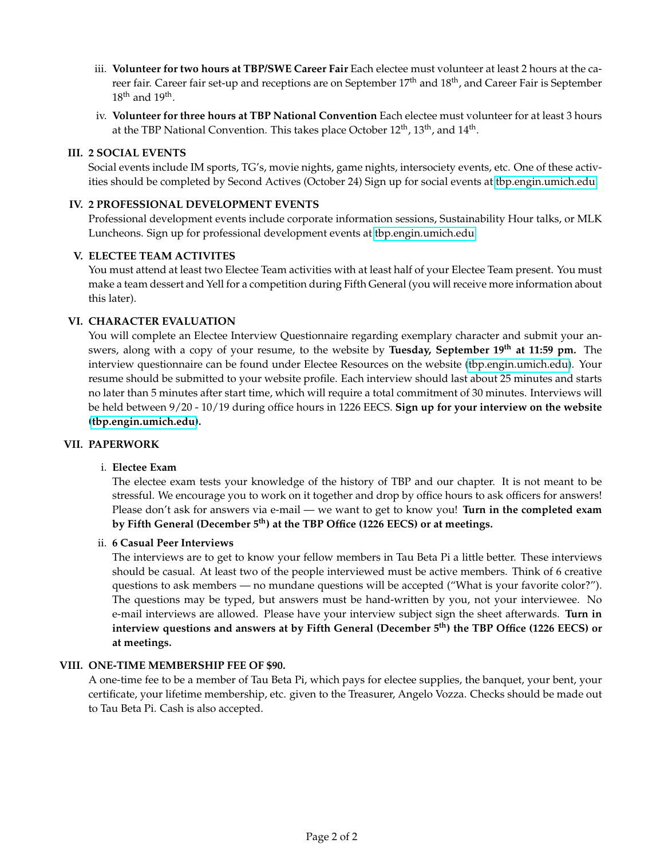- iii. **Volunteer for two hours at TBP/SWE Career Fair** Each electee must volunteer at least 2 hours at the career fair. Career fair set-up and receptions are on September 17<sup>th</sup> and 18<sup>th</sup>, and Career Fair is September  $18^{\text{th}}$  and  $19^{\text{th}}$ .
- iv. **Volunteer for three hours at TBP National Convention** Each electee must volunteer for at least 3 hours at the TBP National Convention. This takes place October 12<sup>th</sup>, 13<sup>th</sup>, and 14<sup>th</sup>.

#### **III. 2 SOCIAL EVENTS**

Social events include IM sports, TG's, movie nights, game nights, intersociety events, etc. One of these activities should be completed by Second Actives (October 24) Sign up for social events at [tbp.engin.umich.edu.](http://tbp.engin.umich.edu)

#### **IV. 2 PROFESSIONAL DEVELOPMENT EVENTS**

Professional development events include corporate information sessions, Sustainability Hour talks, or MLK Luncheons. Sign up for professional development events at [tbp.engin.umich.edu.](http://tbp.engin.umich.edu)

#### **V. ELECTEE TEAM ACTIVITES**

You must attend at least two Electee Team activities with at least half of your Electee Team present. You must make a team dessert and Yell for a competition during Fifth General (you will receive more information about this later).

#### **VI. CHARACTER EVALUATION**

You will complete an Electee Interview Questionnaire regarding exemplary character and submit your answers, along with a copy of your resume, to the website by **Tuesday, September 19th at 11:59 pm.** The interview questionnaire can be found under Electee Resources on the website [\(tbp.engin.umich.edu\)](http://tbp.engin.umich.edu). Your resume should be submitted to your website profile. Each interview should last about 25 minutes and starts no later than 5 minutes after start time, which will require a total commitment of 30 minutes. Interviews will be held between 9/20 - 10/19 during office hours in 1226 EECS. **Sign up for your interview on the website [\(tbp.engin.umich.edu\)](https://tbp.engin.umich.edu/calendar/event_list/).**

#### **VII. PAPERWORK**

## i. **Electee Exam**

The electee exam tests your knowledge of the history of TBP and our chapter. It is not meant to be stressful. We encourage you to work on it together and drop by office hours to ask officers for answers! Please don't ask for answers via e-mail — we want to get to know you! **Turn in the completed exam by Fifth General (December 5th) at the TBP Office (1226 EECS) or at meetings.**

#### ii. **6 Casual Peer Interviews**

The interviews are to get to know your fellow members in Tau Beta Pi a little better. These interviews should be casual. At least two of the people interviewed must be active members. Think of 6 creative questions to ask members — no mundane questions will be accepted ("What is your favorite color?"). The questions may be typed, but answers must be hand-written by you, not your interviewee. No e-mail interviews are allowed. Please have your interview subject sign the sheet afterwards. **Turn in interview questions and answers at by Fifth General (December 5th) the TBP Office (1226 EECS) or at meetings.**

#### **VIII. ONE-TIME MEMBERSHIP FEE OF \$90.**

A one-time fee to be a member of Tau Beta Pi, which pays for electee supplies, the banquet, your bent, your certificate, your lifetime membership, etc. given to the Treasurer, Angelo Vozza. Checks should be made out to Tau Beta Pi. Cash is also accepted.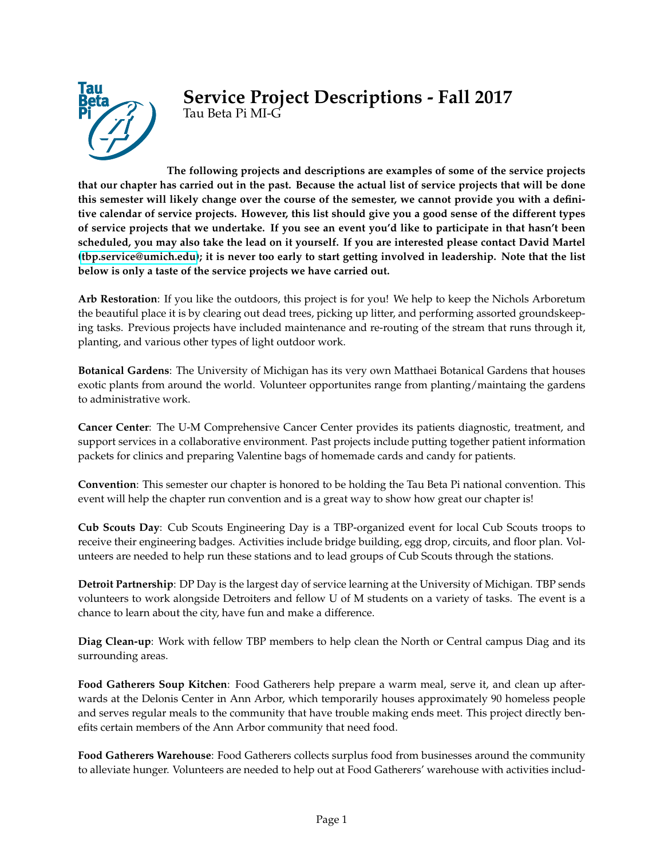

# **Service Project Descriptions - Fall 2017** Tau Beta Pi MI-G

**The following projects and descriptions are examples of some of the service projects that our chapter has carried out in the past. Because the actual list of service projects that will be done this semester will likely change over the course of the semester, we cannot provide you with a definitive calendar of service projects. However, this list should give you a good sense of the different types of service projects that we undertake. If you see an event you'd like to participate in that hasn't been scheduled, you may also take the lead on it yourself. If you are interested please contact David Martel [\(tbp.service@umich.edu\)](mailto:tbp.service@umich.edu); it is never too early to start getting involved in leadership. Note that the list below is only a taste of the service projects we have carried out.**

**Arb Restoration**: If you like the outdoors, this project is for you! We help to keep the Nichols Arboretum the beautiful place it is by clearing out dead trees, picking up litter, and performing assorted groundskeeping tasks. Previous projects have included maintenance and re-routing of the stream that runs through it, planting, and various other types of light outdoor work.

**Botanical Gardens**: The University of Michigan has its very own Matthaei Botanical Gardens that houses exotic plants from around the world. Volunteer opportunites range from planting/maintaing the gardens to administrative work.

**Cancer Center**: The U-M Comprehensive Cancer Center provides its patients diagnostic, treatment, and support services in a collaborative environment. Past projects include putting together patient information packets for clinics and preparing Valentine bags of homemade cards and candy for patients.

**Convention**: This semester our chapter is honored to be holding the Tau Beta Pi national convention. This event will help the chapter run convention and is a great way to show how great our chapter is!

**Cub Scouts Day**: Cub Scouts Engineering Day is a TBP-organized event for local Cub Scouts troops to receive their engineering badges. Activities include bridge building, egg drop, circuits, and floor plan. Volunteers are needed to help run these stations and to lead groups of Cub Scouts through the stations.

**Detroit Partnership**: DP Day is the largest day of service learning at the University of Michigan. TBP sends volunteers to work alongside Detroiters and fellow U of M students on a variety of tasks. The event is a chance to learn about the city, have fun and make a difference.

**Diag Clean-up**: Work with fellow TBP members to help clean the North or Central campus Diag and its surrounding areas.

**Food Gatherers Soup Kitchen**: Food Gatherers help prepare a warm meal, serve it, and clean up afterwards at the Delonis Center in Ann Arbor, which temporarily houses approximately 90 homeless people and serves regular meals to the community that have trouble making ends meet. This project directly benefits certain members of the Ann Arbor community that need food.

**Food Gatherers Warehouse**: Food Gatherers collects surplus food from businesses around the community to alleviate hunger. Volunteers are needed to help out at Food Gatherers' warehouse with activities includ